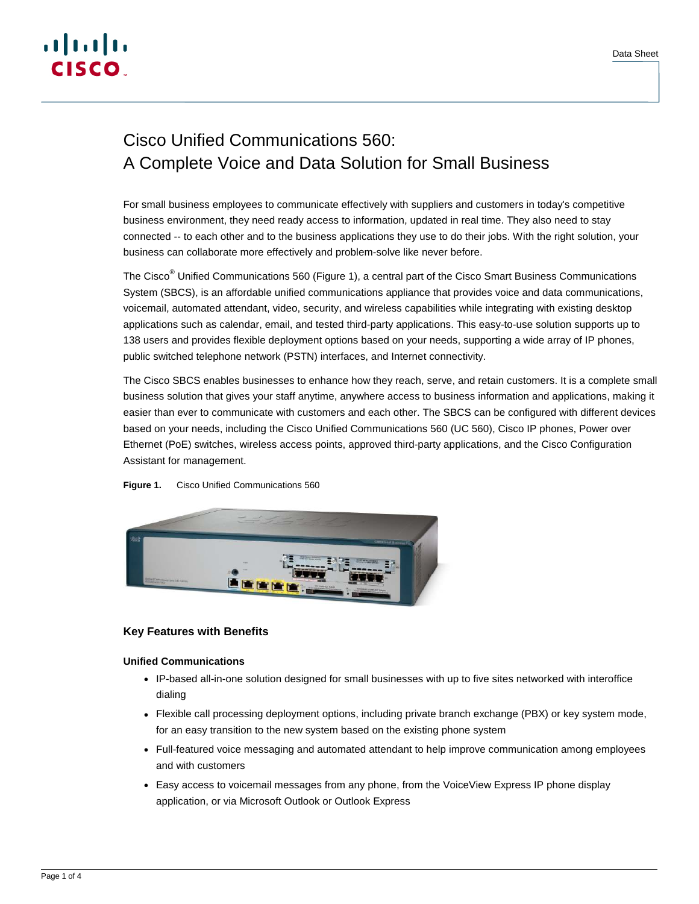# <u>. 1 | 1 . 1 | 1 .</u> **CISCO**

# Cisco Unified Communications 560: A Complete Voice and Data Solution for Small Business

For small business employees to communicate effectively with suppliers and customers in today's competitive business environment, they need ready access to information, updated in real time. They also need to stay connected -- to each other and to the business applications they use to do their jobs. With the right solution, your business can collaborate more effectively and problem-solve like never before.

The Cisco<sup>®</sup> Unified Communications 560 (Figure 1), a central part of the Cisco Smart Business Communications System (SBCS), is an affordable unified communications appliance that provides voice and data communications, voicemail, automated attendant, video, security, and wireless capabilities while integrating with existing desktop applications such as calendar, email, and tested third-party applications. This easy-to-use solution supports up to 138 users and provides flexible deployment options based on your needs, supporting a wide array of IP phones, public switched telephone network (PSTN) interfaces, and Internet connectivity.

The Cisco SBCS enables businesses to enhance how they reach, serve, and retain customers. It is a complete small business solution that gives your staff anytime, anywhere access to business information and applications, making it easier than ever to communicate with customers and each other. The SBCS can be configured with different devices based on your needs, including the Cisco Unified Communications 560 (UC 560), Cisco IP phones, Power over Ethernet (PoE) switches, wireless access points, approved third-party applications, and the Cisco Configuration Assistant for management.

#### **Figure 1.** Cisco Unified Communications 560



# **Key Features with Benefits**

## **Unified Communications**

- IP-based all-in-one solution designed for small businesses with up to five sites networked with interoffice dialing
- Flexible call processing deployment options, including private branch exchange (PBX) or key system mode, for an easy transition to the new system based on the existing phone system
- Full-featured voice messaging and automated attendant to help improve communication among employees and with customers
- Easy access to voicemail messages from any phone, from the VoiceView Express IP phone display application, or via Microsoft Outlook or Outlook Express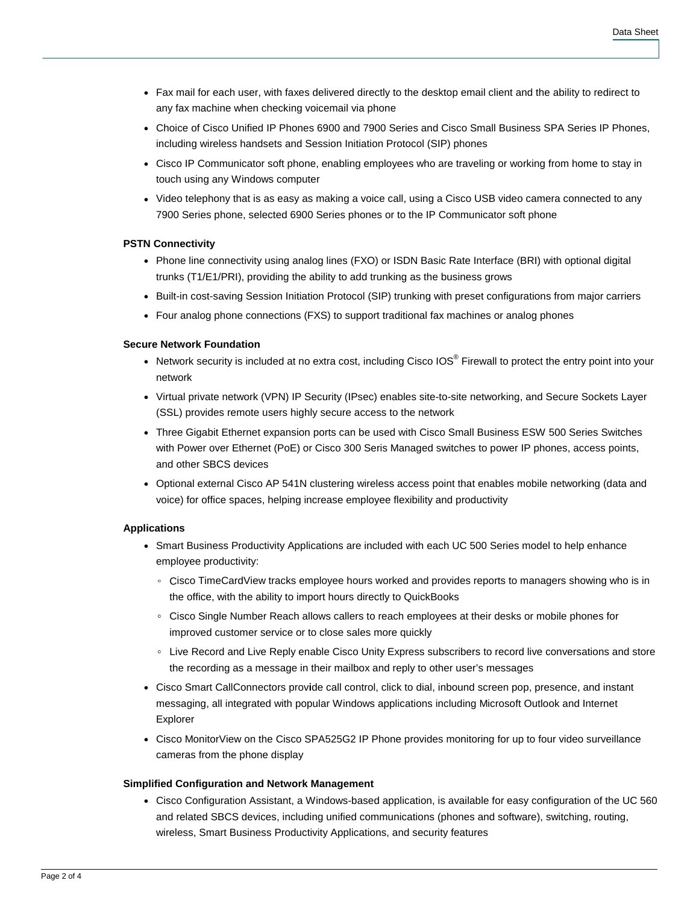- Fax mail for each user, with faxes delivered directly to the desktop email client and the ability to redirect to any fax machine when checking voicemail via phone
- Choice of Cisco Unified IP Phones 6900 and 7900 Series and Cisco Small Business SPA Series IP Phones, including wireless handsets and Session Initiation Protocol (SIP) phones
- Cisco IP Communicator soft phone, enabling employees who are traveling or working from home to stay in touch using any Windows computer
- Video telephony that is as easy as making a voice call, using a Cisco USB video camera connected to any 7900 Series phone, selected 6900 Series phones or to the IP Communicator soft phone

#### **PSTN Connectivity**

- Phone line connectivity using analog lines (FXO) or ISDN Basic Rate Interface (BRI) with optional digital trunks (T1/E1/PRI), providing the ability to add trunking as the business grows
- Built-in cost-saving Session Initiation Protocol (SIP) trunking with preset configurations from major carriers
- Four analog phone connections (FXS) to support traditional fax machines or analog phones

#### **Secure Network Foundation**

- Network security is included at no extra cost, including Cisco IOS® Firewall to protect the entry point into your network
- Virtual private network (VPN) IP Security (IPsec) enables site-to-site networking, and Secure Sockets Layer (SSL) provides remote users highly secure access to the network
- Three Gigabit Ethernet expansion ports can be used with Cisco Small Business ESW 500 Series Switches with Power over Ethernet (PoE) or Cisco 300 Seris Managed switches to power IP phones, access points, and other SBCS devices
- Optional external Cisco AP 541N clustering wireless access point that enables mobile networking (data and voice) for office spaces, helping increase employee flexibility and productivity

#### **Applications**

- Smart Business Productivity Applications are included with each UC 500 Series model to help enhance employee productivity:
	- Cisco TimeCardView tracks employee hours worked and provides reports to managers showing who is in the office, with the ability to import hours directly to QuickBooks
	- Cisco Single Number Reach allows callers to reach employees at their desks or mobile phones for improved customer service or to close sales more quickly
	- Live Record and Live Reply enable Cisco Unity Express subscribers to record live conversations and store the recording as a message in their mailbox and reply to other user's messages
- Cisco Smart CallConnectors prov**i**de call control, click to dial, inbound screen pop, presence, and instant messaging, all integrated with popular Windows applications including Microsoft Outlook and Internet Explorer
- Cisco MonitorView on the Cisco SPA525G2 IP Phone provides monitoring for up to four video surveillance cameras from the phone display

#### **Simplified Configuration and Network Management**

● Cisco Configuration Assistant, a Windows-based application, is available for easy configuration of the UC 560 and related SBCS devices, including unified communications (phones and software), switching, routing, wireless, Smart Business Productivity Applications, and security features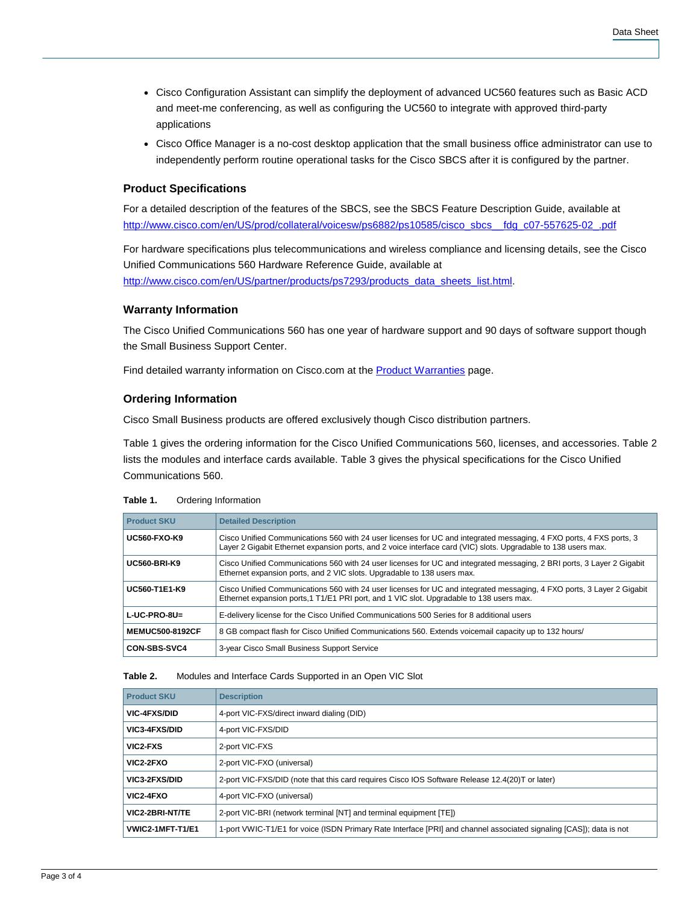- Cisco Configuration Assistant can simplify the deployment of advanced UC560 features such as Basic ACD and meet-me conferencing, as well as configuring the UC560 to integrate with approved third-party applications
- Cisco Office Manager is a no-cost desktop application that the small business office administrator can use to independently perform routine operational tasks for the Cisco SBCS after it is configured by the partner.

### **Product Specifications**

For a detailed description of the features of the SBCS, see the SBCS Feature Description Guide, available at http://www.cisco.com/en/US/prod/collateral/voicesw/ps6882/ps10585/cisco\_sbcs\_\_fdg\_c07-557625-02\_.pdf

For hardware specifications plus telecommunications and wireless compliance and licensing details, see the Cisco Unified Communications 560 Hardware Reference Guide, available at [http://www.cisco.com/en/US/partner/products/ps7293/products\\_data\\_sheets\\_list.html.](http://www.cisco.com/en/US/partner/products/ps7293/products_data_sheets_list.html)

#### **Warranty Information**

The Cisco Unified Communications 560 has one year of hardware support and 90 days of software support though the Small Business Support Center.

Find detailed warranty information on Cisco.com at the **Product Warranties** page.

#### **Ordering Information**

Cisco Small Business products are offered exclusively though Cisco distribution partners.

Table 1 gives the ordering information for the Cisco Unified Communications 560, licenses, and accessories. Table 2 lists the modules and interface cards available. Table 3 gives the physical specifications for the Cisco Unified Communications 560.

| Table 1. |  | Ordering Information |
|----------|--|----------------------|
|----------|--|----------------------|

| <b>Product SKU</b>     | <b>Detailed Description</b>                                                                                                                                                                                                           |
|------------------------|---------------------------------------------------------------------------------------------------------------------------------------------------------------------------------------------------------------------------------------|
| <b>UC560-FXO-K9</b>    | Cisco Unified Communications 560 with 24 user licenses for UC and integrated messaging, 4 FXO ports, 4 FXS ports, 3<br>Layer 2 Gigabit Ethernet expansion ports, and 2 voice interface card (VIC) slots. Upgradable to 138 users max. |
| <b>UC560-BRI-K9</b>    | Cisco Unified Communications 560 with 24 user licenses for UC and integrated messaging, 2 BRI ports, 3 Layer 2 Gigabit<br>Ethernet expansion ports, and 2 VIC slots. Upgradable to 138 users max.                                     |
| <b>UC560-T1E1-K9</b>   | Cisco Unified Communications 560 with 24 user licenses for UC and integrated messaging, 4 FXO ports, 3 Layer 2 Gigabit<br>Ethernet expansion ports, 1 T1/E1 PRI port, and 1 VIC slot. Upgradable to 138 users max.                    |
| $L$ -UC-PRO-8U=        | E-delivery license for the Cisco Unified Communications 500 Series for 8 additional users                                                                                                                                             |
| <b>MEMUC500-8192CF</b> | 8 GB compact flash for Cisco Unified Communications 560. Extends voicemail capacity up to 132 hours/                                                                                                                                  |
| <b>CON-SBS-SVC4</b>    | 3-year Cisco Small Business Support Service                                                                                                                                                                                           |

#### **Table 2.** Modules and Interface Cards Supported in an Open VIC Slot

| <b>Product SKU</b>  | <b>Description</b>                                                                                                  |
|---------------------|---------------------------------------------------------------------------------------------------------------------|
| <b>VIC-4FXS/DID</b> | 4-port VIC-FXS/direct inward dialing (DID)                                                                          |
| VIC3-4FXS/DID       | 4-port VIC-FXS/DID                                                                                                  |
| VIC2-FXS            | 2-port VIC-FXS                                                                                                      |
| VIC2-2FXO           | 2-port VIC-FXO (universal)                                                                                          |
| VIC3-2FXS/DID       | 2-port VIC-FXS/DID (note that this card requires Cisco IOS Software Release 12.4(20)T or later)                     |
| VIC2-4FXO           | 4-port VIC-FXO (universal)                                                                                          |
| VIC2-2BRI-NT/TE     | 2-port VIC-BRI (network terminal [NT] and terminal equipment [TE])                                                  |
| VWIC2-1MFT-T1/E1    | 1-port VWIC-T1/E1 for voice (ISDN Primary Rate Interface [PRI] and channel associated signaling [CAS]); data is not |